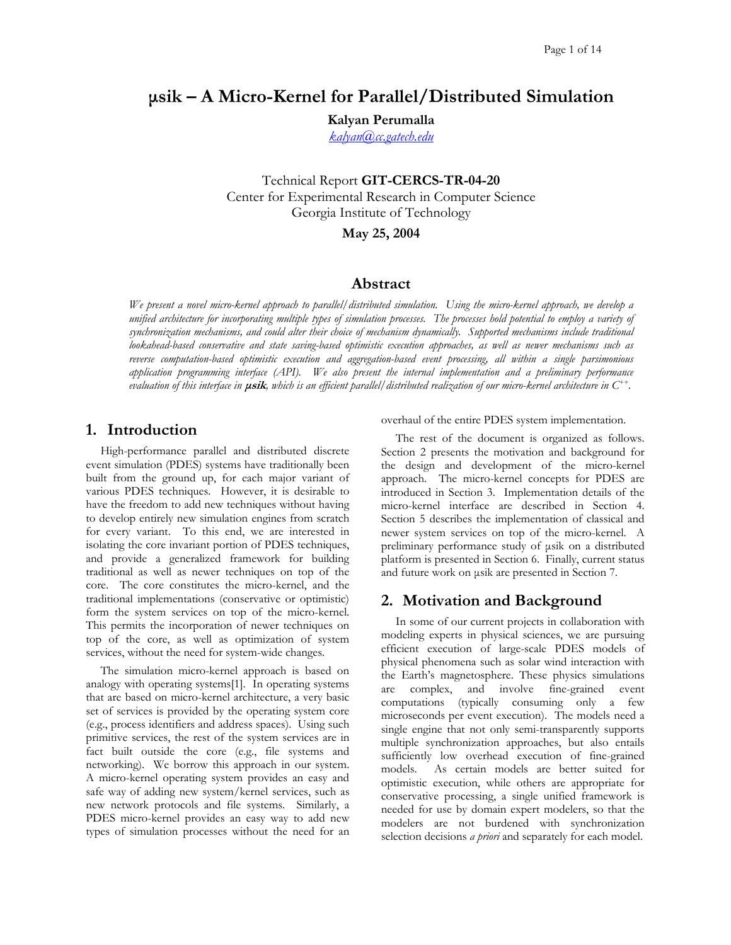# **µsik – A Micro-Kernel for Parallel/Distributed Simulation**

**Kalyan Perumalla**

*[kalyan@cc.gatech.edu](mailto:kalyan@cc.gatech.edu)*

Technical Report **GIT-CERCS-TR-04-20** Center for Experimental Research in Computer Science Georgia Institute of Technology

**May 25, 2004** 

## **Abstract**

*We present a novel micro-kernel approach to parallel/distributed simulation. Using the micro-kernel approach, we develop a unified architecture for incorporating multiple types of simulation processes. The processes hold potential to employ a variety of synchronization mechanisms, and could alter their choice of mechanism dynamically. Supported mechanisms include traditional lookahead-based conservative and state saving-based optimistic execution approaches, as well as newer mechanisms such as reverse computation-based optimistic execution and aggregation-based event processing, all within a single parsimonious application programming interface (API). We also present the internal implementation and a preliminary performance evaluation of this interface in* **µsik***, which is an efficient parallel/distributed realization of our micro-kernel architecture in C++.* 

# **1. Introduction**

High-performance parallel and distributed discrete event simulation (PDES) systems have traditionally been built from the ground up, for each major variant of various PDES techniques. However, it is desirable to have the freedom to add new techniques without having to develop entirely new simulation engines from scratch for every variant. To this end, we are interested in isolating the core invariant portion of PDES techniques, and provide a generalized framework for building traditional as well as newer techniques on top of the core. The core constitutes the micro-kernel, and the traditional implementations (conservative or optimistic) form the system services on top of the micro-kernel. This permits the incorporation of newer techniques on top of the core, as well as optimization of system services, without the need for system-wide changes.

The simulation micro-kernel approach is based on analogy with operating systems[1]. In operating systems that are based on micro-kernel architecture, a very basic set of services is provided by the operating system core (e.g., process identifiers and address spaces). Using such primitive services, the rest of the system services are in fact built outside the core (e.g., file systems and networking). We borrow this approach in our system. A micro-kernel operating system provides an easy and safe way of adding new system/kernel services, such as new network protocols and file systems. Similarly, a PDES micro-kernel provides an easy way to add new types of simulation processes without the need for an overhaul of the entire PDES system implementation.

The rest of the document is organized as follows. Section [2](#page-0-0) presents the motivation and background for the design and development of the micro-kernel approach. The micro-kernel concepts for PDES are introduced in Section [3.](#page-2-0) Implementation details of the micro-kernel interface are described in Section [4.](#page-4-0) Section [5](#page-7-0) describes the implementation of classical and newer system services on top of the micro-kernel. A preliminary performance study of µsik on a distributed platform is presented in Section [6.](#page-9-0) Finally, current status and future work on µsik are presented in Section [7.](#page-12-0)

# <span id="page-0-0"></span>**2. Motivation and Background**

In some of our current projects in collaboration with modeling experts in physical sciences, we are pursuing efficient execution of large-scale PDES models of physical phenomena such as solar wind interaction with the Earth's magnetosphere. These physics simulations are complex, and involve fine-grained event computations (typically consuming only a few microseconds per event execution). The models need a single engine that not only semi-transparently supports multiple synchronization approaches, but also entails sufficiently low overhead execution of fine-grained models. As certain models are better suited for optimistic execution, while others are appropriate for conservative processing, a single unified framework is needed for use by domain expert modelers, so that the modelers are not burdened with synchronization selection decisions *a priori* and separately for each model.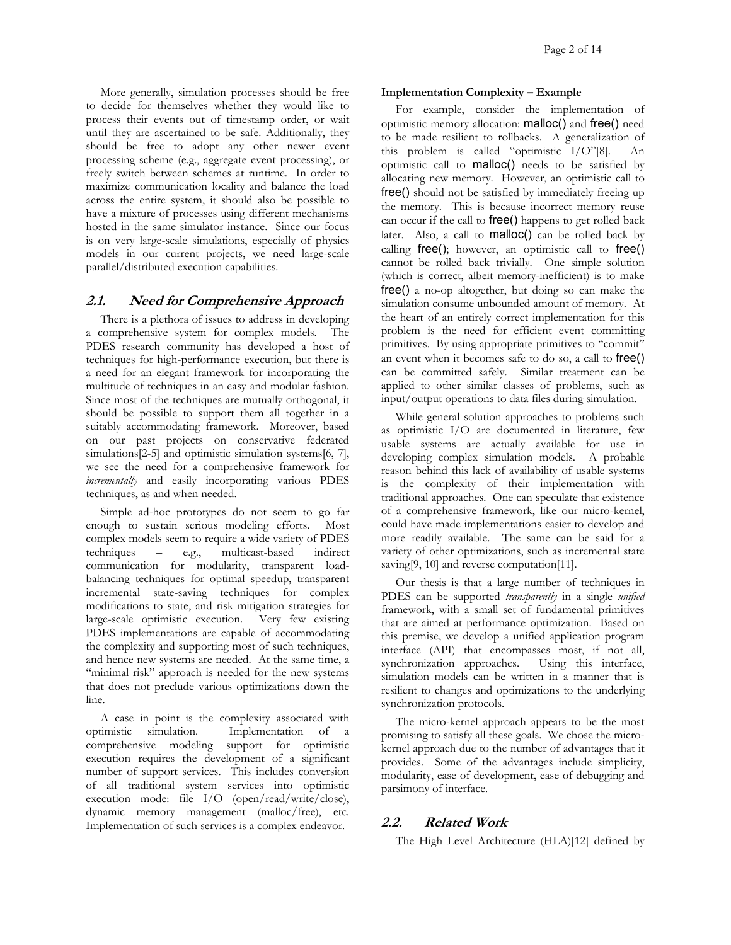More generally, simulation processes should be free to decide for themselves whether they would like to process their events out of timestamp order, or wait until they are ascertained to be safe. Additionally, they should be free to adopt any other newer event processing scheme (e.g., aggregate event processing), or freely switch between schemes at runtime. In order to maximize communication locality and balance the load across the entire system, it should also be possible to have a mixture of processes using different mechanisms hosted in the same simulator instance. Since our focus is on very large-scale simulations, especially of physics models in our current projects, we need large-scale parallel/distributed execution capabilities.

## **2.1. Need for Comprehensive Approach**

There is a plethora of issues to address in developing a comprehensive system for complex models. The PDES research community has developed a host of techniques for high-performance execution, but there is a need for an elegant framework for incorporating the multitude of techniques in an easy and modular fashion. Since most of the techniques are mutually orthogonal, it should be possible to support them all together in a suitably accommodating framework. Moreover, based on our past projects on conservative federated simulations<sup>[2-5]</sup> and optimistic simulation systems<sup>[6, 7]</sup>, we see the need for a comprehensive framework for *incrementally* and easily incorporating various PDES techniques, as and when needed.

Simple ad-hoc prototypes do not seem to go far enough to sustain serious modeling efforts. Most complex models seem to require a wide variety of PDES techniques – e.g., multicast-based indirect communication for modularity, transparent loadbalancing techniques for optimal speedup, transparent incremental state-saving techniques for complex modifications to state, and risk mitigation strategies for large-scale optimistic execution. Very few existing PDES implementations are capable of accommodating the complexity and supporting most of such techniques, and hence new systems are needed. At the same time, a "minimal risk" approach is needed for the new systems that does not preclude various optimizations down the line.

A case in point is the complexity associated with optimistic simulation. Implementation of a comprehensive modeling support for optimistic execution requires the development of a significant number of support services. This includes conversion of all traditional system services into optimistic execution mode: file I/O (open/read/write/close), dynamic memory management (malloc/free), etc. Implementation of such services is a complex endeavor.

#### **Implementation Complexity – Example**

For example, consider the implementation of optimistic memory allocation: malloc() and free() need to be made resilient to rollbacks. A generalization of this problem is called "optimistic I/O"[8]. An optimistic call to malloc() needs to be satisfied by allocating new memory. However, an optimistic call to free() should not be satisfied by immediately freeing up the memory. This is because incorrect memory reuse can occur if the call to free() happens to get rolled back later. Also, a call to malloc() can be rolled back by calling free(); however, an optimistic call to free() cannot be rolled back trivially. One simple solution (which is correct, albeit memory-inefficient) is to make free() a no-op altogether, but doing so can make the simulation consume unbounded amount of memory. At the heart of an entirely correct implementation for this problem is the need for efficient event committing primitives. By using appropriate primitives to "commit" an event when it becomes safe to do so, a call to free() can be committed safely. Similar treatment can be applied to other similar classes of problems, such as input/output operations to data files during simulation.

While general solution approaches to problems such as optimistic I/O are documented in literature, few usable systems are actually available for use in developing complex simulation models. A probable reason behind this lack of availability of usable systems is the complexity of their implementation with traditional approaches. One can speculate that existence of a comprehensive framework, like our micro-kernel, could have made implementations easier to develop and more readily available. The same can be said for a variety of other optimizations, such as incremental state saving[9, 10] and reverse computation[11].

Our thesis is that a large number of techniques in PDES can be supported *transparently* in a single *unified* framework, with a small set of fundamental primitives that are aimed at performance optimization. Based on this premise, we develop a unified application program interface (API) that encompasses most, if not all, synchronization approaches. simulation models can be written in a manner that is resilient to changes and optimizations to the underlying synchronization protocols.

The micro-kernel approach appears to be the most promising to satisfy all these goals. We chose the microkernel approach due to the number of advantages that it provides. Some of the advantages include simplicity, modularity, ease of development, ease of debugging and parsimony of interface.

## **2.2. Related Work**

The High Level Architecture (HLA)[12] defined by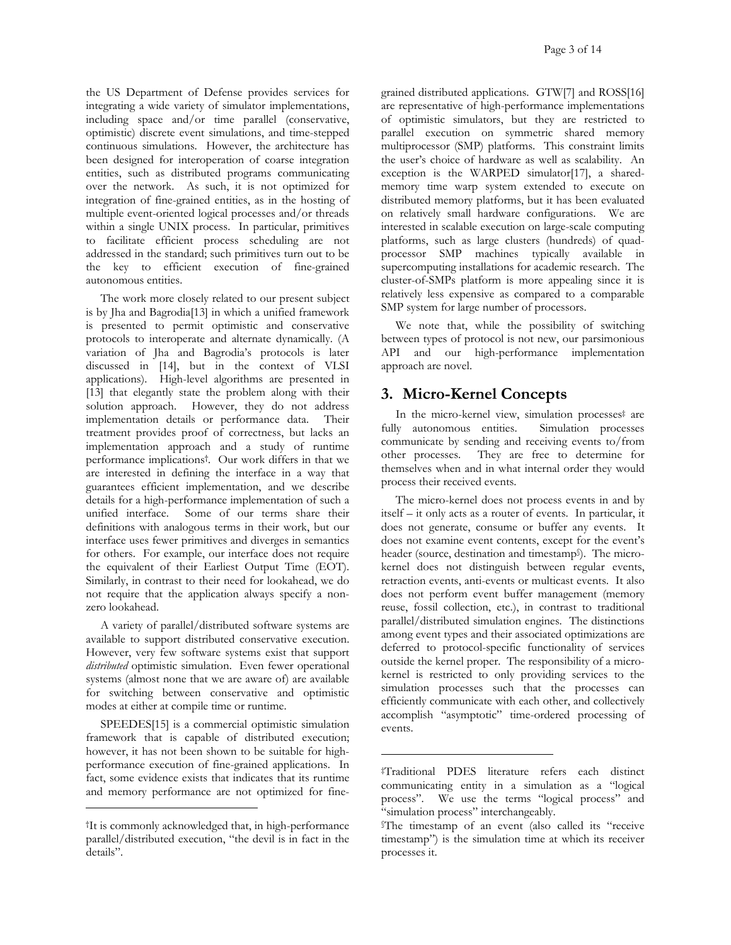the US Department of Defense provides services for integrating a wide variety of simulator implementations, including space and/or time parallel (conservative, optimistic) discrete event simulations, and time-stepped continuous simulations. However, the architecture has been designed for interoperation of coarse integration entities, such as distributed programs communicating over the network. As such, it is not optimized for integration of fine-grained entities, as in the hosting of multiple event-oriented logical processes and/or threads within a single UNIX process. In particular, primitives to facilitate efficient process scheduling are not addressed in the standard; such primitives turn out to be the key to efficient execution of fine-grained autonomous entities.

The work more closely related to our present subject is by Jha and Bagrodia[13] in which a unified framework is presented to permit optimistic and conservative protocols to interoperate and alternate dynamically. (A variation of Jha and Bagrodia's protocols is later discussed in [14], but in the context of VLSI applications). High-level algorithms are presented in [13] that elegantly state the problem along with their solution approach. However, they do not address implementation details or performance data. Their treatment provides proof of correctness, but lacks an implementation approach and a study of runtime performance implications[†.](#page-2-1) Our work differs in that we are interested in defining the interface in a way that guarantees efficient implementation, and we describe details for a high-performance implementation of such a unified interface. Some of our terms share their definitions with analogous terms in their work, but our interface uses fewer primitives and diverges in semantics for others. For example, our interface does not require the equivalent of their Earliest Output Time (EOT). Similarly, in contrast to their need for lookahead, we do not require that the application always specify a nonzero lookahead.

A variety of parallel/distributed software systems are available to support distributed conservative execution. However, very few software systems exist that support *distributed* optimistic simulation. Even fewer operational systems (almost none that we are aware of) are available for switching between conservative and optimistic modes at either at compile time or runtime.

SPEEDES<sup>[15]</sup> is a commercial optimistic simulation framework that is capable of distributed execution; however, it has not been shown to be suitable for highperformance execution of fine-grained applications. In fact, some evidence exists that indicates that its runtime and memory performance are not optimized for fine-

-

grained distributed applications. GTW[7] and ROSS[16] are representative of high-performance implementations of optimistic simulators, but they are restricted to parallel execution on symmetric shared memory multiprocessor (SMP) platforms. This constraint limits the user's choice of hardware as well as scalability. An exception is the WARPED simulator[17], a sharedmemory time warp system extended to execute on distributed memory platforms, but it has been evaluated on relatively small hardware configurations. We are interested in scalable execution on large-scale computing platforms, such as large clusters (hundreds) of quadprocessor SMP machines typically available in supercomputing installations for academic research. The cluster-of-SMPs platform is more appealing since it is relatively less expensive as compared to a comparable SMP system for large number of processors.

We note that, while the possibility of switching between types of protocol is not new, our parsimonious API and our high-performance implementation approach are novel.

# <span id="page-2-0"></span>**3. Micro-Kernel Concepts**

In the micro-kernel view, simulation processe[s‡](#page-2-2) are fully autonomous entities. Simulation processes communicate by sending and receiving events to/from other processes. They are free to determine for themselves when and in what internal order they would process their received events.

The micro-kernel does not process events in and by itself – it only acts as a router of events. In particular, it does not generate, consume or buffer any events. It does not examine event contents, except for the event's header (source, destination and timestam[p§\)](#page-2-3). The microkernel does not distinguish between regular events, retraction events, anti-events or multicast events. It also does not perform event buffer management (memory reuse, fossil collection, etc.), in contrast to traditional parallel/distributed simulation engines. The distinctions among event types and their associated optimizations are deferred to protocol-specific functionality of services outside the kernel proper. The responsibility of a microkernel is restricted to only providing services to the simulation processes such that the processes can efficiently communicate with each other, and collectively accomplish "asymptotic" time-ordered processing of events.

-

<span id="page-2-1"></span><sup>†</sup>It is commonly acknowledged that, in high-performance parallel/distributed execution, "the devil is in fact in the details".

<span id="page-2-2"></span><sup>‡</sup>Traditional PDES literature refers each distinct communicating entity in a simulation as a "logical process". We use the terms "logical process" and "simulation process" interchangeably.

<span id="page-2-3"></span><sup>§</sup>The timestamp of an event (also called its "receive timestamp") is the simulation time at which its receiver processes it.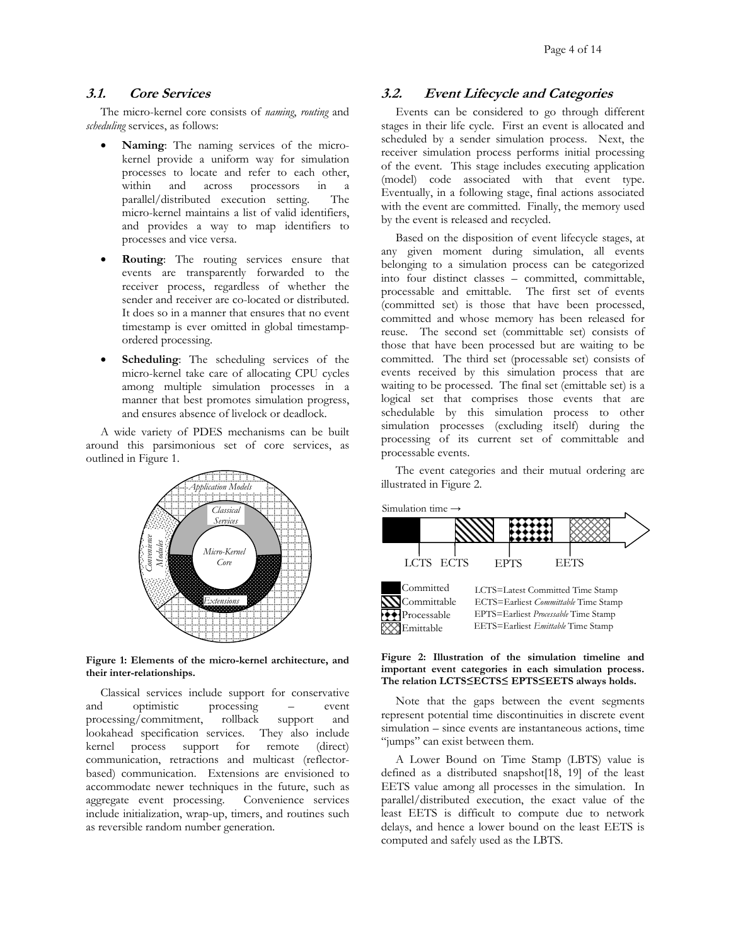The micro-kernel core consists of *naming*, *routing* and *scheduling* services, as follows:

- **Naming**: The naming services of the microkernel provide a uniform way for simulation processes to locate and refer to each other, within and across processors in a parallel/distributed execution setting. The micro-kernel maintains a list of valid identifiers, and provides a way to map identifiers to processes and vice versa. Based on the disposition of event lifecycle stages, at
- **Routing**: The routing services ensure that events are transparently forwarded to the receiver process, regardless of whether the sender and receiver are co-located or distributed. It does so in a manner that ensures that no event timestamp is ever omitted in global timestampordered processing.
- **Scheduling**: The scheduling services of the micro-kernel take care of allocating CPU cycles among multiple simulation processes in a manner that best promotes simulation progress, and ensures absence of livelock or deadlock.

A wide variety of PDES mechanisms can be built around this parsimonious set of core services, as outlined in [Figure](#page-3-0) 1.



<span id="page-3-0"></span>**Figure 1: Elements of the micro-kernel architecture, and their inter-relationships.**

Classical services include support for conservative and optimistic processing – event processing/commitment, rollback support and lookahead specification services. They also include kernel process support for remote (direct) communication, retractions and multicast (reflectorbased) communication. Extensions are envisioned to accommodate newer techniques in the future, such as aggregate event processing. Convenience services include initialization, wrap-up, timers, and routines such as reversible random number generation.

## **3.1. Core Services 3.2. Event Lifecycle and Categories**

Events can be considered to go through different stages in their life cycle. First an event is allocated and scheduled by a sender simulation process. Next, the receiver simulation process performs initial processing of the event. This stage includes executing application (model) code associated with that event type. Eventually, in a following stage, final actions associated with the event are committed. Finally, the memory used by the event is released and recycled.

any given moment during simulation, all events belonging to a simulation process can be categorized into four distinct classes – committed, committable, processable and emittable. The first set of events (committed set) is those that have been processed, committed and whose memory has been released for reuse. The second set (committable set) consists of those that have been processed but are waiting to be committed. The third set (processable set) consists of events received by this simulation process that are waiting to be processed. The final set (emittable set) is a logical set that comprises those events that are schedulable by this simulation process to other simulation processes (excluding itself) during the processing of its current set of committable and processable events.

The event categories and their mutual ordering are illustrated in [Figure 2.](#page-3-1)



#### <span id="page-3-1"></span>**Figure 2: Illustration of the simulation timeline and important event categories in each simulation process. The relation LCTS≤ECTS≤ EPTS≤EETS always holds.**

Note that the gaps between the event segments represent potential time discontinuities in discrete event simulation – since events are instantaneous actions, time "jumps" can exist between them.

A Lower Bound on Time Stamp (LBTS) value is defined as a distributed snapshot[18, 19] of the least EETS value among all processes in the simulation. In parallel/distributed execution, the exact value of the least EETS is difficult to compute due to network delays, and hence a lower bound on the least EETS is computed and safely used as the LBTS.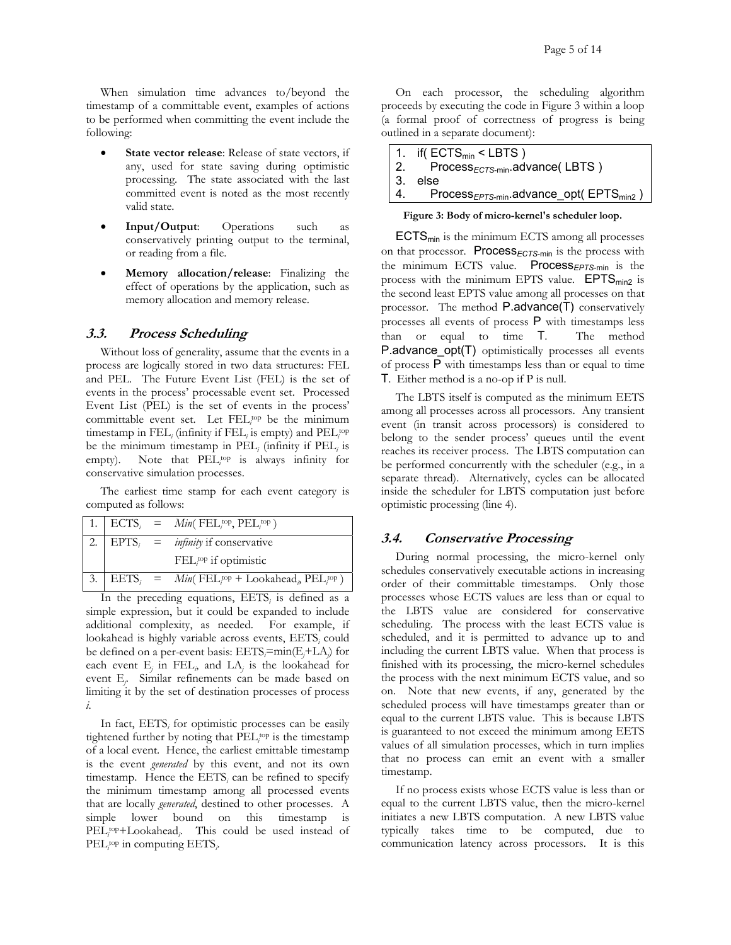When simulation time advances to/beyond the timestamp of a committable event, examples of actions to be performed when committing the event include the following:

- **State vector release**: Release of state vectors, if any, used for state saving during optimistic processing. The state associated with the last committed event is noted as the most recently valid state.
- **Input/Output**: Operations such as conservatively printing output to the terminal, or reading from a file.
- **Memory allocation/release**: Finalizing the effect of operations by the application, such as memory allocation and memory release.

#### **3.3. Process Scheduling**

Without loss of generality, assume that the events in a process are logically stored in two data structures: FEL and PEL. The Future Event List (FEL) is the set of events in the process' processable event set. Processed Event List (PEL) is the set of events in the process' committable event set. Let FEL<sup>top</sup> be the minimum timestamp in FEL<sub>*i*</sub> (infinity if FEL<sub>*i*</sub> is empty) and PEL<sub>*i*</sub><sup>top</sup> be the minimum timestamp in  $PEL_i$  (infinity if  $PEL_i$  is empty). Note that PEL<sup>top</sup> is always infinity for conservative simulation processes.

The earliest time stamp for each event category is computed as follows:

|  | 1. $\text{ECTS}_i$ = $\text{Min}(\text{ FEL}_{i}^{\text{top}}, \text{ PEL}_{i}^{\text{top}})$ |
|--|-----------------------------------------------------------------------------------------------|
|  | 2.   EPTS <sub>i</sub> = <i>infinity</i> if conservative                                      |
|  | $FELi$ top if optimistic                                                                      |
|  | 3.   EETS <sub>i</sub> = $Min( FEL_i^{top} + Look ahead_{\rho} PEL_i^{top})$                  |

In the preceding equations, EETS<sub>i</sub> is defined as a simple expression, but it could be expanded to include additional complexity, as needed. For example, if lookahead is highly variable across events, EETS<sub>i</sub> could be defined on a per-event basis: EETS*<sup>i</sup>* =min(E*<sup>j</sup>* +LA*<sup>j</sup>* ) for each event  $E_j$  in  $FEL_j$  and  $LA_j$  is the lookahead for event E*<sup>j</sup>* . Similar refinements can be made based on limiting it by the set of destination processes of process *i*.

In fact, EETS<sub>i</sub> for optimistic processes can be easily tightened further by noting that PEL<sub>ivp</sub> is the timestamp of a local event. Hence, the earliest emittable timestamp is the event *generated* by this event, and not its own timestamp. Hence the EETS<sub>i</sub> can be refined to specify the minimum timestamp among all processed events that are locally *generated*, destined to other processes. A simple lower bound on this timestamp is PEL<sub>i</sub><sup>top</sup>+Lookahead<sub>*i*</sub>. This could be used instead of PEL<sub>*i*</sub><sup>top</sup> in computing EETS<sub>*i*</sub>.

On each processor, the scheduling algorithm proceeds by executing the code in [Figure 3](#page-4-1) within a loop (a formal proof of correctness of progress is being outlined in a separate document):

| 1. if( $\text{ECTS}_{\text{min}}$ < LBTS)                          |
|--------------------------------------------------------------------|
| 2. $Process_{ECTS\text{-min}}$ .advance(LBTS)                      |
| 3. else                                                            |
| 4. Process <sub>EPTS-min</sub> .advance_opt(EPTS <sub>min2</sub> ) |

<span id="page-4-1"></span><span id="page-4-0"></span>**Figure 3: Body of micro-kernel's scheduler loop.**

 $ECTS<sub>min</sub>$  is the minimum ECTS among all processes on that processor. Process<sub>ECTS-min</sub> is the process with the minimum ECTS value. Process*EPTS*-min is the process with the minimum EPTS value.  $EPTS_{min2}$  is the second least EPTS value among all processes on that processor. The method P.advance(T) conservatively processes all events of process P with timestamps less than or equal to time T. The method P.advance\_opt(T) optimistically processes all events of process P with timestamps less than or equal to time T. Either method is a no-op if P is null.

The LBTS itself is computed as the minimum EETS among all processes across all processors. Any transient event (in transit across processors) is considered to belong to the sender process' queues until the event reaches its receiver process. The LBTS computation can be performed concurrently with the scheduler (e.g., in a separate thread). Alternatively, cycles can be allocated inside the scheduler for LBTS computation just before optimistic processing (line 4).

## **3.4. Conservative Processing**

During normal processing, the micro-kernel only schedules conservatively executable actions in increasing order of their committable timestamps. Only those processes whose ECTS values are less than or equal to the LBTS value are considered for conservative scheduling. The process with the least ECTS value is scheduled, and it is permitted to advance up to and including the current LBTS value. When that process is finished with its processing, the micro-kernel schedules the process with the next minimum ECTS value, and so on. Note that new events, if any, generated by the scheduled process will have timestamps greater than or equal to the current LBTS value. This is because LBTS is guaranteed to not exceed the minimum among EETS values of all simulation processes, which in turn implies that no process can emit an event with a smaller timestamp.

If no process exists whose ECTS value is less than or equal to the current LBTS value, then the micro-kernel initiates a new LBTS computation. A new LBTS value typically takes time to be computed, due to communication latency across processors. It is this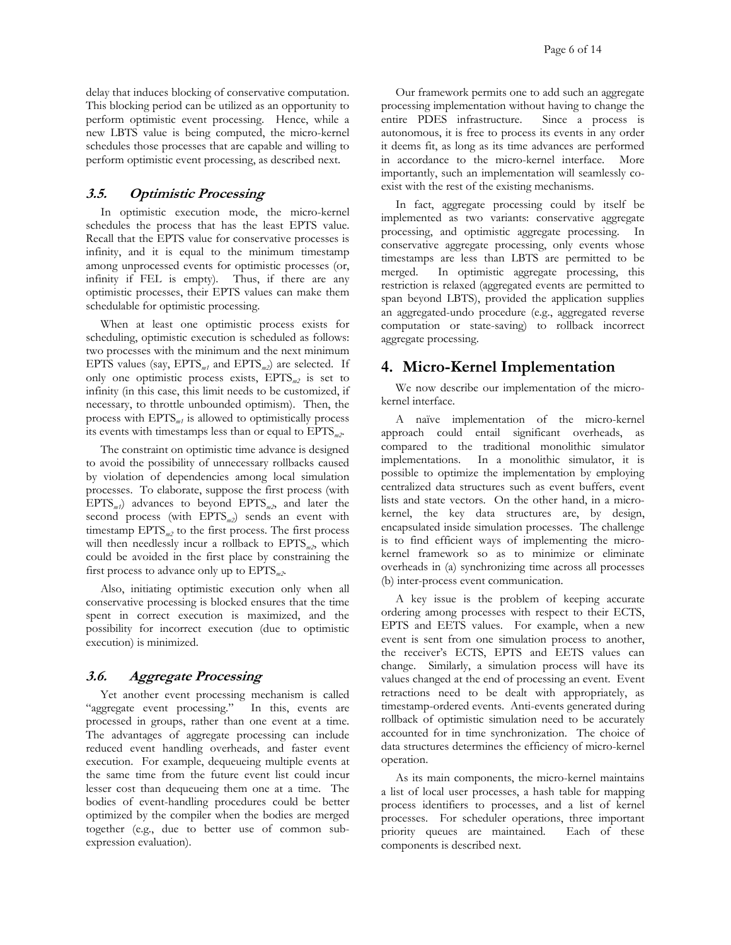delay that induces blocking of conservative computation. This blocking period can be utilized as an opportunity to perform optimistic event processing. Hence, while a new LBTS value is being computed, the micro-kernel schedules those processes that are capable and willing to perform optimistic event processing, as described next.

#### **3.5. Optimistic Processing**

In optimistic execution mode, the micro-kernel schedules the process that has the least EPTS value. Recall that the EPTS value for conservative processes is infinity, and it is equal to the minimum timestamp among unprocessed events for optimistic processes (or, infinity if FEL is empty). Thus, if there are any optimistic processes, their EPTS values can make them schedulable for optimistic processing.

When at least one optimistic process exists for scheduling, optimistic execution is scheduled as follows: two processes with the minimum and the next minimum EPTS values (say, EPTS*m1* and EPTS*m2*) are selected. If only one optimistic process exists, EPTS*m2* is set to infinity (in this case, this limit needs to be customized, if necessary, to throttle unbounded optimism). Then, the process with EPTS*m1* is allowed to optimistically process its events with timestamps less than or equal to EPTS*m2*.

The constraint on optimistic time advance is designed to avoid the possibility of unnecessary rollbacks caused by violation of dependencies among local simulation processes. To elaborate, suppose the first process (with  $EPTS_{m1}$  advances to beyond  $EPTS_{m2}$ , and later the second process (with EPTS*m2*) sends an event with timestamp EPTS<sub>m2</sub> to the first process. The first process will then needlessly incur a rollback to EPTS<sub>m2</sub>, which could be avoided in the first place by constraining the first process to advance only up to EPTS*m2*.

Also, initiating optimistic execution only when all conservative processing is blocked ensures that the time spent in correct execution is maximized, and the possibility for incorrect execution (due to optimistic execution) is minimized.

## <span id="page-5-0"></span>**3.6. Aggregate Processing**

Yet another event processing mechanism is called "aggregate event processing." In this, events are processed in groups, rather than one event at a time. The advantages of aggregate processing can include reduced event handling overheads, and faster event execution. For example, dequeueing multiple events at the same time from the future event list could incur lesser cost than dequeueing them one at a time. The bodies of event-handling procedures could be better optimized by the compiler when the bodies are merged together (e.g., due to better use of common subexpression evaluation).

Our framework permits one to add such an aggregate processing implementation without having to change the entire PDES infrastructure. Since a process is autonomous, it is free to process its events in any order it deems fit, as long as its time advances are performed in accordance to the micro-kernel interface. More importantly, such an implementation will seamlessly coexist with the rest of the existing mechanisms.

In fact, aggregate processing could by itself be implemented as two variants: conservative aggregate processing, and optimistic aggregate processing. In conservative aggregate processing, only events whose timestamps are less than LBTS are permitted to be merged. In optimistic aggregate processing, this restriction is relaxed (aggregated events are permitted to span beyond LBTS), provided the application supplies an aggregated-undo procedure (e.g., aggregated reverse computation or state-saving) to rollback incorrect aggregate processing.

# **4. Micro-Kernel Implementation**

We now describe our implementation of the microkernel interface.

A naïve implementation of the micro-kernel approach could entail significant overheads, as compared to the traditional monolithic simulator implementations. In a monolithic simulator, it is possible to optimize the implementation by employing centralized data structures such as event buffers, event lists and state vectors. On the other hand, in a microkernel, the key data structures are, by design, encapsulated inside simulation processes. The challenge is to find efficient ways of implementing the microkernel framework so as to minimize or eliminate overheads in (a) synchronizing time across all processes (b) inter-process event communication.

A key issue is the problem of keeping accurate ordering among processes with respect to their ECTS, EPTS and EETS values. For example, when a new event is sent from one simulation process to another, the receiver's ECTS, EPTS and EETS values can change. Similarly, a simulation process will have its values changed at the end of processing an event. Event retractions need to be dealt with appropriately, as timestamp-ordered events. Anti-events generated during rollback of optimistic simulation need to be accurately accounted for in time synchronization. The choice of data structures determines the efficiency of micro-kernel operation.

As its main components, the micro-kernel maintains a list of local user processes, a hash table for mapping process identifiers to processes, and a list of kernel processes. For scheduler operations, three important priority queues are maintained. Each of these components is described next.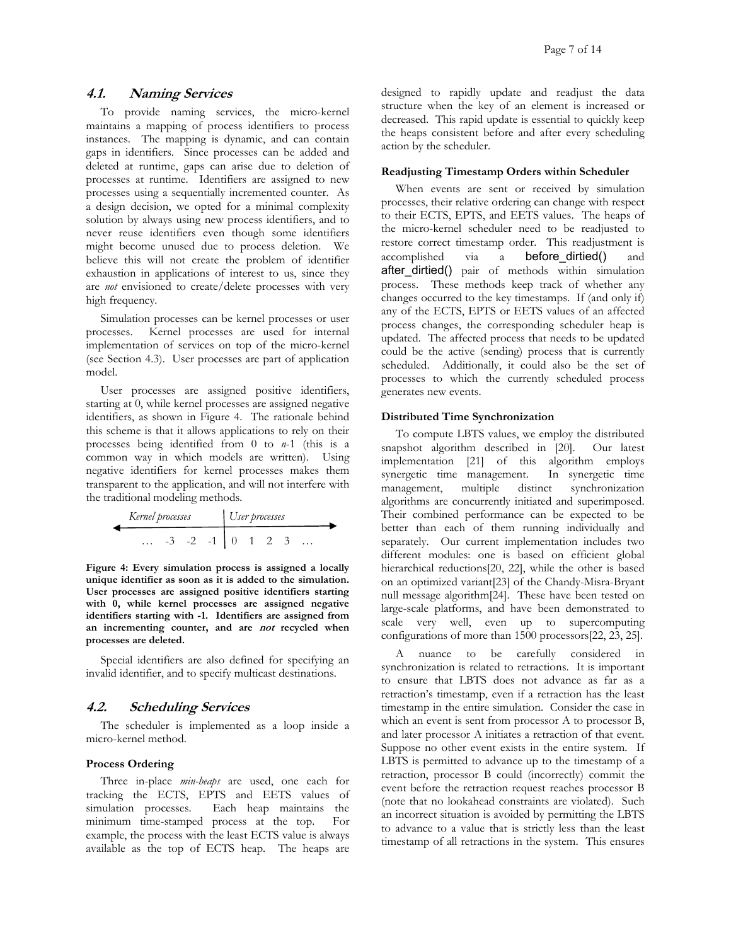## **4.1. Naming Services**

To provide naming services, the micro-kernel maintains a mapping of process identifiers to process instances. The mapping is dynamic, and can contain gaps in identifiers. Since processes can be added and deleted at runtime, gaps can arise due to deletion of processes at runtime. Identifiers are assigned to new processes using a sequentially incremented counter. As a design decision, we opted for a minimal complexity solution by always using new process identifiers, and to never reuse identifiers even though some identifiers might become unused due to process deletion. We believe this will not create the problem of identifier exhaustion in applications of interest to us, since they are *not* envisioned to create/delete processes with very high frequency.

Simulation processes can be kernel processes or user processes. Kernel processes are used for internal implementation of services on top of the micro-kernel (see Section [4.3\)](#page-7-1). User processes are part of application model.

User processes are assigned positive identifiers, starting at 0, while kernel processes are assigned negative identifiers, as shown in [Figure 4.](#page-6-0) The rationale behind this scheme is that it allows applications to rely on their processes being identified from 0 to *n*-1 (this is a common way in which models are written). Using negative identifiers for kernel processes makes them transparent to the application, and will not interfere with the traditional modeling methods.

| Kernel processes |  |  | User processes |  |  |  |  |  |  |
|------------------|--|--|----------------|--|--|--|--|--|--|
| .                |  |  |                |  |  |  |  |  |  |

<span id="page-6-0"></span>**Figure 4: Every simulation process is assigned a locally unique identifier as soon as it is added to the simulation. User processes are assigned positive identifiers starting with 0, while kernel processes are assigned negative identifiers starting with -1. Identifiers are assigned from an incrementing counter, and are not recycled when processes are deleted.** 

Special identifiers are also defined for specifying an invalid identifier, and to specify multicast destinations.

## **4.2. Scheduling Services**

The scheduler is implemented as a loop inside a micro-kernel method.

#### **Process Ordering**

Three in-place *min-heaps* are used, one each for tracking the ECTS, EPTS and EETS values of simulation processes. Each heap maintains the minimum time-stamped process at the top. For example, the process with the least ECTS value is always available as the top of ECTS heap. The heaps are designed to rapidly update and readjust the data structure when the key of an element is increased or decreased. This rapid update is essential to quickly keep the heaps consistent before and after every scheduling action by the scheduler.

#### **Readjusting Timestamp Orders within Scheduler**

When events are sent or received by simulation processes, their relative ordering can change with respect to their ECTS, EPTS, and EETS values. The heaps of the micro-kernel scheduler need to be readjusted to restore correct timestamp order. This readjustment is accomplished via a before\_dirtied() and after dirtied() pair of methods within simulation process. These methods keep track of whether any changes occurred to the key timestamps. If (and only if) any of the ECTS, EPTS or EETS values of an affected process changes, the corresponding scheduler heap is updated. The affected process that needs to be updated could be the active (sending) process that is currently scheduled. Additionally, it could also be the set of processes to which the currently scheduled process generates new events.

#### **Distributed Time Synchronization**

To compute LBTS values, we employ the distributed snapshot algorithm described in [20]. Our latest implementation [21] of this algorithm employs synergetic time management. In synergetic time management, multiple distinct synchronization algorithms are concurrently initiated and superimposed. Their combined performance can be expected to be better than each of them running individually and separately. Our current implementation includes two different modules: one is based on efficient global hierarchical reductions[20, 22], while the other is based on an optimized variant[23] of the Chandy-Misra-Bryant null message algorithm[24]. These have been tested on large-scale platforms, and have been demonstrated to scale very well, even up to supercomputing configurations of more than 1500 processors[22, 23, 25].

A nuance to be carefully considered in synchronization is related to retractions. It is important to ensure that LBTS does not advance as far as a retraction's timestamp, even if a retraction has the least timestamp in the entire simulation. Consider the case in which an event is sent from processor A to processor B, and later processor A initiates a retraction of that event. Suppose no other event exists in the entire system. If LBTS is permitted to advance up to the timestamp of a retraction, processor B could (incorrectly) commit the event before the retraction request reaches processor B (note that no lookahead constraints are violated). Such an incorrect situation is avoided by permitting the LBTS to advance to a value that is strictly less than the least timestamp of all retractions in the system. This ensures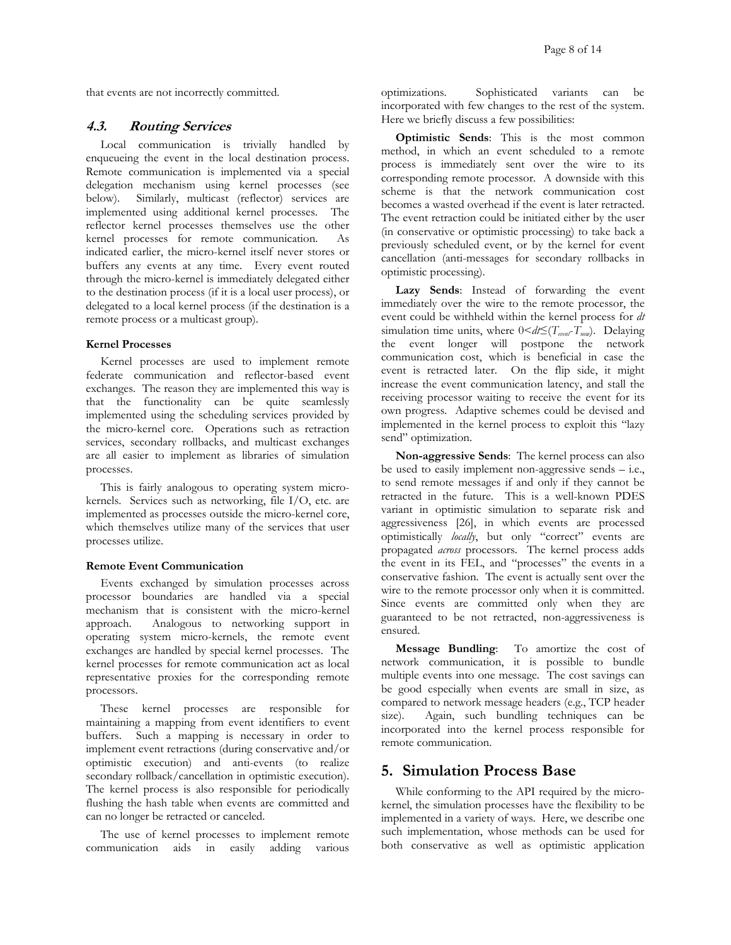that events are not incorrectly committed.

#### <span id="page-7-1"></span>**4.3. Routing Services**

Local communication is trivially handled by enqueueing the event in the local destination process. Remote communication is implemented via a special delegation mechanism using kernel processes (see below). Similarly, multicast (reflector) services are implemented using additional kernel processes. The reflector kernel processes themselves use the other kernel processes for remote communication. As indicated earlier, the micro-kernel itself never stores or buffers any events at any time. Every event routed through the micro-kernel is immediately delegated either to the destination process (if it is a local user process), or delegated to a local kernel process (if the destination is a remote process or a multicast group).

#### **Kernel Processes**

Kernel processes are used to implement remote federate communication and reflector-based event exchanges. The reason they are implemented this way is that the functionality can be quite seamlessly implemented using the scheduling services provided by the micro-kernel core. Operations such as retraction services, secondary rollbacks, and multicast exchanges are all easier to implement as libraries of simulation processes.

This is fairly analogous to operating system microkernels. Services such as networking, file I/O, etc. are implemented as processes outside the micro-kernel core, which themselves utilize many of the services that user processes utilize.

#### **Remote Event Communication**

Events exchanged by simulation processes across processor boundaries are handled via a special mechanism that is consistent with the micro-kernel approach. Analogous to networking support in operating system micro-kernels, the remote event exchanges are handled by special kernel processes. The kernel processes for remote communication act as local representative proxies for the corresponding remote processors.

These kernel processes are responsible for maintaining a mapping from event identifiers to event buffers. Such a mapping is necessary in order to implement event retractions (during conservative and/or optimistic execution) and anti-events (to realize secondary rollback/cancellation in optimistic execution). The kernel process is also responsible for periodically flushing the hash table when events are committed and can no longer be retracted or canceled.

The use of kernel processes to implement remote communication aids in easily adding various

optimizations. Sophisticated variants can be incorporated with few changes to the rest of the system. Here we briefly discuss a few possibilities:

**Optimistic Sends**: This is the most common method, in which an event scheduled to a remote process is immediately sent over the wire to its corresponding remote processor. A downside with this scheme is that the network communication cost becomes a wasted overhead if the event is later retracted. The event retraction could be initiated either by the user (in conservative or optimistic processing) to take back a previously scheduled event, or by the kernel for event cancellation (anti-messages for secondary rollbacks in optimistic processing).

**Lazy Sends**: Instead of forwarding the event immediately over the wire to the remote processor, the event could be withheld within the kernel process for *dt* simulation time units, where  $0 \leq d \leq (T_{\text{post}} - T_{\text{non}})$ . Delaying the event longer will postpone the network communication cost, which is beneficial in case the event is retracted later. On the flip side, it might increase the event communication latency, and stall the receiving processor waiting to receive the event for its own progress. Adaptive schemes could be devised and implemented in the kernel process to exploit this "lazy send" optimization.

**Non-aggressive Sends**: The kernel process can also be used to easily implement non-aggressive sends – i.e., to send remote messages if and only if they cannot be retracted in the future. This is a well-known PDES variant in optimistic simulation to separate risk and aggressiveness [26], in which events are processed optimistically *locally*, but only "correct" events are propagated *across* processors. The kernel process adds the event in its FEL, and "processes" the events in a conservative fashion. The event is actually sent over the wire to the remote processor only when it is committed. Since events are committed only when they are guaranteed to be not retracted, non-aggressiveness is ensured.

**Message Bundling**: To amortize the cost of network communication, it is possible to bundle multiple events into one message. The cost savings can be good especially when events are small in size, as compared to network message headers (e.g., TCP header size). Again, such bundling techniques can be incorporated into the kernel process responsible for remote communication.

# <span id="page-7-0"></span>**5. Simulation Process Base**

While conforming to the API required by the microkernel, the simulation processes have the flexibility to be implemented in a variety of ways. Here, we describe one such implementation, whose methods can be used for both conservative as well as optimistic application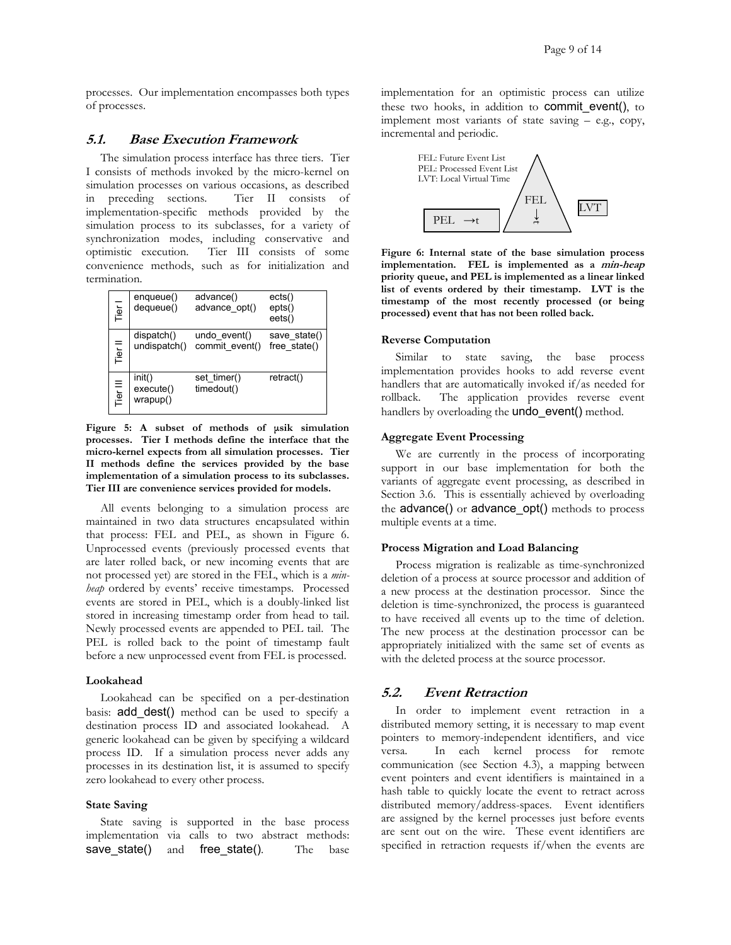processes. Our implementation encompasses both types of processes.

## **5.1. Base Execution Framework**

The simulation process interface has three tiers. Tier I consists of methods invoked by the micro-kernel on simulation processes on various occasions, as described in preceding sections. Tier II consists of implementation-specific methods provided by the simulation process to its subclasses, for a variety of synchronization modes, including conservative and optimistic execution. Tier III consists of some convenience methods, such as for initialization and termination.

| Tier I   | enqueue()<br>dequeue()          | advance()<br>advance opt()     | ects()<br>epts()<br>eets()   |
|----------|---------------------------------|--------------------------------|------------------------------|
| Tier II  | dispatch()<br>undispatch()      | undo event()<br>commit event() | save state()<br>free state() |
| Tier III | init()<br>execute()<br>wrapup() | set timer()<br>timedout()      | retract()                    |

**Figure 5: A subset of methods of µsik simulation processes. Tier I methods define the interface that the micro-kernel expects from all simulation processes. Tier II methods define the services provided by the base implementation of a simulation process to its subclasses. Tier III are convenience services provided for models.** 

All events belonging to a simulation process are maintained in two data structures encapsulated within that process: FEL and PEL, as shown in [Figure 6.](#page-8-0)  Unprocessed events (previously processed events that are later rolled back, or new incoming events that are not processed yet) are stored in the FEL, which is a *minheap* ordered by events' receive timestamps. Processed events are stored in PEL, which is a doubly-linked list stored in increasing timestamp order from head to tail. Newly processed events are appended to PEL tail. The PEL is rolled back to the point of timestamp fault before a new unprocessed event from FEL is processed.

#### **Lookahead**

Lookahead can be specified on a per-destination basis: add\_dest() method can be used to specify a destination process ID and associated lookahead. A generic lookahead can be given by specifying a wildcard process ID. If a simulation process never adds any processes in its destination list, it is assumed to specify zero lookahead to every other process.

#### **State Saving**

State saving is supported in the base process implementation via calls to two abstract methods: save state() and free state(). The base implementation for an optimistic process can utilize these two hooks, in addition to commit event(), to implement most variants of state saving – e.g., copy, incremental and periodic.



<span id="page-8-0"></span>**Figure 6: Internal state of the base simulation process implementation. FEL is implemented as a min-heap priority queue, and PEL is implemented as a linear linked list of events ordered by their timestamp. LVT is the timestamp of the most recently processed (or being processed) event that has not been rolled back.** 

#### **Reverse Computation**

Similar to state saving, the base process implementation provides hooks to add reverse event handlers that are automatically invoked if/as needed for rollback. The application provides reverse event handlers by overloading the **undo** event() method.

#### **Aggregate Event Processing**

We are currently in the process of incorporating support in our base implementation for both the variants of aggregate event processing, as described in Section [3.6.](#page-5-0) This is essentially achieved by overloading the advance() or advance\_opt() methods to process multiple events at a time.

#### **Process Migration and Load Balancing**

Process migration is realizable as time-synchronized deletion of a process at source processor and addition of a new process at the destination processor. Since the deletion is time-synchronized, the process is guaranteed to have received all events up to the time of deletion. The new process at the destination processor can be appropriately initialized with the same set of events as with the deleted process at the source processor.

# **5.2. Event Retraction**

In order to implement event retraction in a distributed memory setting, it is necessary to map event pointers to memory-independent identifiers, and vice versa. In each kernel process for remote communication (see Section [4.3\)](#page-7-1), a mapping between event pointers and event identifiers is maintained in a hash table to quickly locate the event to retract across distributed memory/address-spaces. Event identifiers are assigned by the kernel processes just before events are sent out on the wire. These event identifiers are specified in retraction requests if/when the events are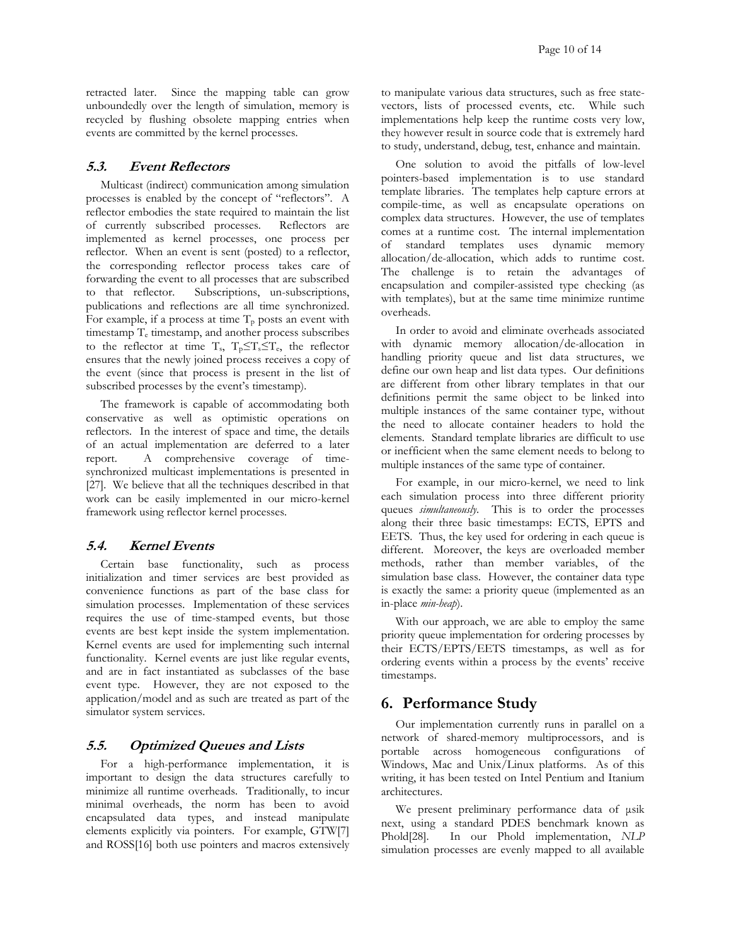retracted later. Since the mapping table can grow unboundedly over the length of simulation, memory is recycled by flushing obsolete mapping entries when events are committed by the kernel processes.

## **5.3. Event Reflectors**

Multicast (indirect) communication among simulation processes is enabled by the concept of "reflectors". A reflector embodies the state required to maintain the list of currently subscribed processes. Reflectors are implemented as kernel processes, one process per reflector. When an event is sent (posted) to a reflector, the corresponding reflector process takes care of forwarding the event to all processes that are subscribed to that reflector. Subscriptions, un-subscriptions, publications and reflections are all time synchronized. For example, if a process at time  $T_p$  posts an event with timestamp Te timestamp, and another process subscribes to the reflector at time  $T_s$ ,  $T_p \leq T_s \leq T_e$ , the reflector ensures that the newly joined process receives a copy of the event (since that process is present in the list of subscribed processes by the event's timestamp).

The framework is capable of accommodating both conservative as well as optimistic operations on reflectors. In the interest of space and time, the details of an actual implementation are deferred to a later report. A comprehensive coverage of timesynchronized multicast implementations is presented in [27]. We believe that all the techniques described in that work can be easily implemented in our micro-kernel framework using reflector kernel processes.

#### **5.4. Kernel Events**

Certain base functionality, such as process initialization and timer services are best provided as convenience functions as part of the base class for simulation processes. Implementation of these services requires the use of time-stamped events, but those events are best kept inside the system implementation. Kernel events are used for implementing such internal functionality. Kernel events are just like regular events, and are in fact instantiated as subclasses of the base event type. However, they are not exposed to the application/model and as such are treated as part of the simulator system services.

## **5.5. Optimized Queues and Lists**

For a high-performance implementation, it is important to design the data structures carefully to minimize all runtime overheads. Traditionally, to incur minimal overheads, the norm has been to avoid encapsulated data types, and instead manipulate elements explicitly via pointers. For example, GTW[7] and ROSS[16] both use pointers and macros extensively to manipulate various data structures, such as free statevectors, lists of processed events, etc. While such implementations help keep the runtime costs very low, they however result in source code that is extremely hard to study, understand, debug, test, enhance and maintain.

One solution to avoid the pitfalls of low-level pointers-based implementation is to use standard template libraries. The templates help capture errors at compile-time, as well as encapsulate operations on complex data structures. However, the use of templates comes at a runtime cost. The internal implementation of standard templates uses dynamic memory allocation/de-allocation, which adds to runtime cost. The challenge is to retain the advantages of encapsulation and compiler-assisted type checking (as with templates), but at the same time minimize runtime overheads.

In order to avoid and eliminate overheads associated with dynamic memory allocation/de-allocation in handling priority queue and list data structures, we define our own heap and list data types. Our definitions are different from other library templates in that our definitions permit the same object to be linked into multiple instances of the same container type, without the need to allocate container headers to hold the elements. Standard template libraries are difficult to use or inefficient when the same element needs to belong to multiple instances of the same type of container.

For example, in our micro-kernel, we need to link each simulation process into three different priority queues *simultaneously*. This is to order the processes along their three basic timestamps: ECTS, EPTS and EETS. Thus, the key used for ordering in each queue is different. Moreover, the keys are overloaded member methods, rather than member variables, of the simulation base class. However, the container data type is exactly the same: a priority queue (implemented as an in-place *min-heap*).

With our approach, we are able to employ the same priority queue implementation for ordering processes by their ECTS/EPTS/EETS timestamps, as well as for ordering events within a process by the events' receive timestamps.

# <span id="page-9-0"></span>**6. Performance Study**

Our implementation currently runs in parallel on a network of shared-memory multiprocessors, and is portable across homogeneous configurations of Windows, Mac and Unix/Linux platforms. As of this writing, it has been tested on Intel Pentium and Itanium architectures.

We present preliminary performance data of µsik next, using a standard PDES benchmark known as Phold[28]. In our Phold implementation, *NLP* simulation processes are evenly mapped to all available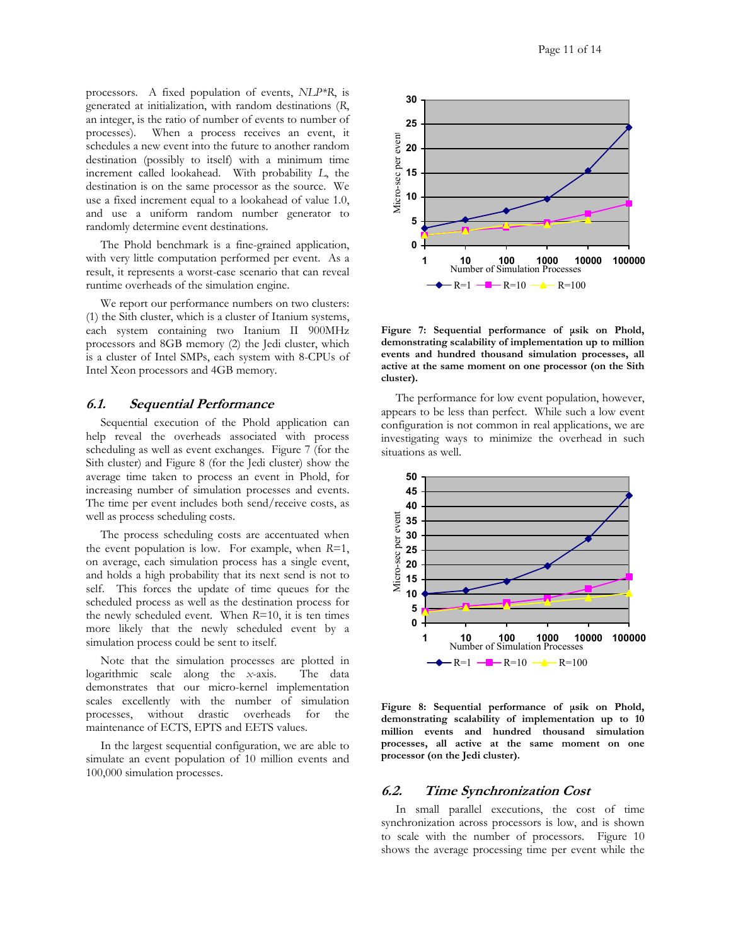processors. A fixed population of events, *NLP\*R*, is generated at initialization, with random destinations (*R*, an integer, is the ratio of number of events to number of processes). When a process receives an event, it schedules a new event into the future to another random destination (possibly to itself) with a minimum time increment called lookahead. With probability *L*, the destination is on the same processor as the source. We use a fixed increment equal to a lookahead of value 1.0, and use a uniform random number generator to randomly determine event destinations.

The Phold benchmark is a fine-grained application, with very little computation performed per event. As a result, it represents a worst-case scenario that can reveal runtime overheads of the simulation engine.

We report our performance numbers on two clusters: (1) the Sith cluster, which is a cluster of Itanium systems, each system containing two Itanium II 900MHz processors and 8GB memory (2) the Jedi cluster, which is a cluster of Intel SMPs, each system with 8-CPUs of Intel Xeon processors and 4GB memory.

#### **6.1. Sequential Performance**

Sequential execution of the Phold application can help reveal the overheads associated with process scheduling as well as event exchanges. Figure 7 [\(](#page-10-0)for the Sith cluster) and [Figure](#page-10-1) 8 (for the Jedi cluster) show the average time taken to process an event in Phold, for increasing number of simulation processes and events. The time per event includes both send/receive costs, as well as process scheduling costs.

The process scheduling costs are accentuated when the event population is low. For example, when *R*=1, on average, each simulation process has a single event, and holds a high probability that its next send is not to self. This forces the update of time queues for the scheduled process as well as the destination process for the newly scheduled event. When *R*=10, it is ten times more likely that the newly scheduled event by a simulation process could be sent to itself.

Note that the simulation processes are plotted in logarithmic scale along the *x*-axis. The data demonstrates that our micro-kernel implementation scales excellently with the number of simulation processes, without drastic overheads for the maintenance of ECTS, EPTS and EETS values.

In the largest sequential configuration, we are able to simulate an event population of 10 million events and 100,000 simulation processes.

<span id="page-10-0"></span>

**Figure 7: Sequential performance of µsik on Phold, demonstrating scalability of implementation up to million events and hundred thousand simulation processes, all active at the same moment on one processor (on the Sith cluster).** 

The performance for low event population, however, appears to be less than perfect. While such a low event configuration is not common in real applications, we are investigating ways to minimize the overhead in such situations as well.

<span id="page-10-1"></span>

**Figure 8: Sequential performance of µsik on Phold, demonstrating scalability of implementation up to 10 million events and hundred thousand simulation processes, all active at the same moment on one processor (on the Jedi cluster).** 

#### **6.2. Time Synchronization Cost**

In small parallel executions, the cost of time synchronization across processors is low, and is shown to scale with the number of processors. [Figure 10](#page-11-0)shows the average processing time per event while the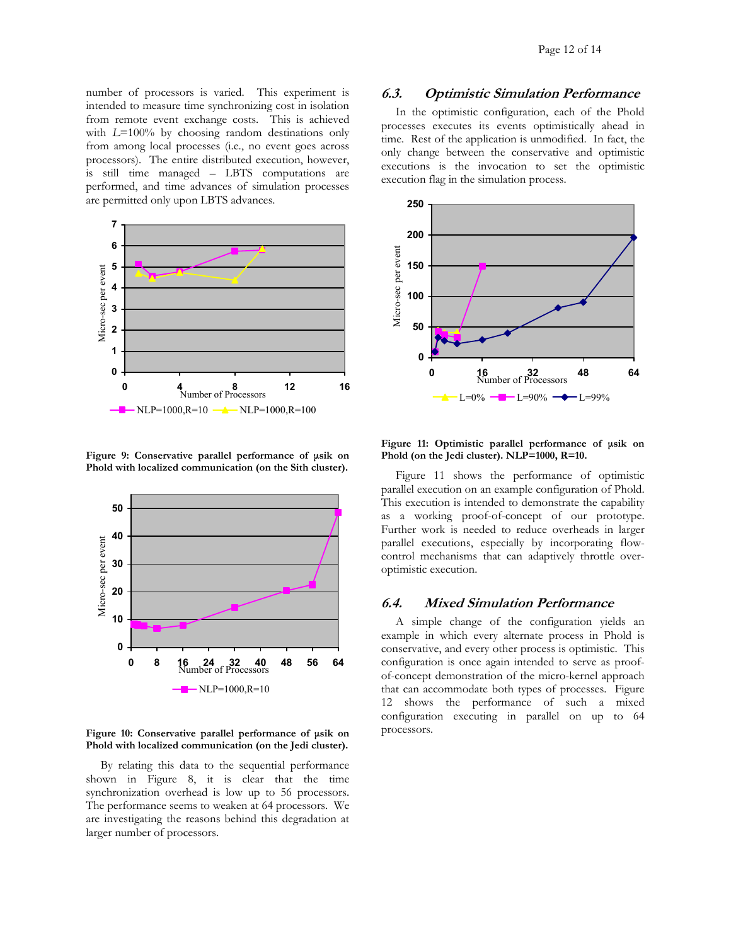number of processors is varied. This experiment is  $6.3.$  **Optimistic Simulation Performance** intended to measure time synchronizing cost in isolation from remote event exchange costs. This is achieved with *L*=100% by choosing random destinations only from among local processes (i.e., no event goes across processors). The entire distributed execution, however, is still time managed – LBTS computations are performed, and time advances of simulation processes are permitted only upon LBTS advances.



**Figure 9: Conservative parallel performance of µsik on Phold with localized communication (on the Sith cluster).** 

<span id="page-11-0"></span>

#### **Figure 10: Conservative parallel performance of µsik on Phold with localized communication (on the Jedi cluster).**

By relating this data to the sequential performance shown in [Figure](#page-10-1) 8, it is clear that the time synchronization overhead is low up to 56 processors. The performance seems to weaken at 64 processors. We are investigating the reasons behind this degradation at larger number of processors.

In the optimistic configuration, each of the Phold processes executes its events optimistically ahead in time. Rest of the application is unmodified. In fact, the only change between the conservative and optimistic executions is the invocation to set the optimistic execution flag in the simulation process.

<span id="page-11-1"></span>

**Figure 11: Optimistic parallel performance of µsik on Phold (on the Jedi cluster). NLP=1000, R=10.** 

[Figure](#page-11-1) 11 shows the performance of optimistic parallel execution on an example configuration of Phold. This execution is intended to demonstrate the capability as a working proof-of-concept of our prototype. Further work is needed to reduce overheads in larger parallel executions, especially by incorporating flowcontrol mechanisms that can adaptively throttle overoptimistic execution.

## **6.4. Mixed Simulation Performance**

A simple change of the configuration yields an example in which every alternate process in Phold is conservative, and every other process is optimistic. This configuration is once again intended to serve as proofof-concept demonstration of the micro-kernel approach that can accommodate both types of processes. [Figure](#page-12-1)  12 shows the performance of such a mixed configuration executing in parallel on up to 64 processors.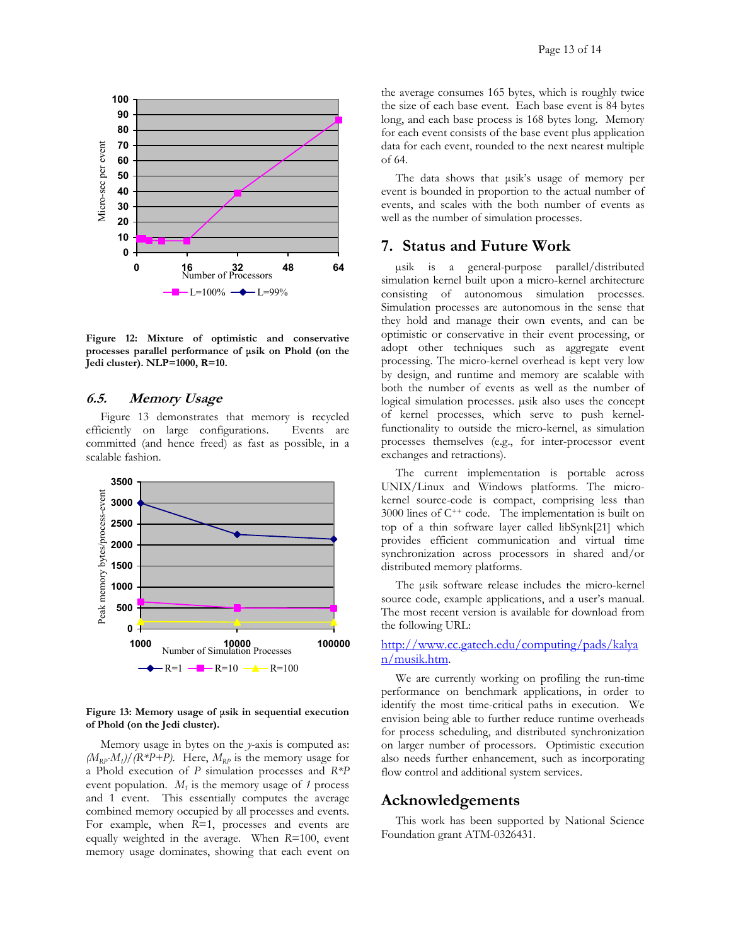<span id="page-12-1"></span>

**Figure 12: Mixture of optimistic and conservative processes parallel performance of µsik on Phold (on the Jedi cluster). NLP=1000, R=10.**

#### **6.5. Memory Usage**

[Figure](#page-12-2) 13 demonstrates that memory is recycled efficiently on large configurations. Events are committed (and hence freed) as fast as possible, in a scalable fashion.

<span id="page-12-2"></span>

#### **Figure 13: Memory usage of µsik in sequential execution of Phold (on the Jedi cluster).**

Memory usage in bytes on the *y*-axis is computed as:  $(M_{RP}M)$ /(R\*P+P). Here,  $M_{RP}$  is the memory usage for a Phold execution of *P* simulation processes and *R\*P* event population.  $M_t$  is the memory usage of 1 process and 1 event. This essentially computes the average combined memory occupied by all processes and events. For example, when  $R=1$ , processes and events are equally weighted in the average. When *R*=100, event memory usage dominates, showing that each event on

the average consumes 165 bytes, which is roughly twice the size of each base event. Each base event is 84 bytes long, and each base process is 168 bytes long. Memory for each event consists of the base event plus application data for each event, rounded to the next nearest multiple of 64.

The data shows that  $\mu$ sik's usage of memory per event is bounded in proportion to the actual number of events, and scales with the both number of events as well as the number of simulation processes.

## <span id="page-12-0"></span>**7. Status and Future Work**

µsik is a general-purpose parallel/distributed simulation kernel built upon a micro-kernel architecture consisting of autonomous simulation processes. Simulation processes are autonomous in the sense that they hold and manage their own events, and can be optimistic or conservative in their event processing, or adopt other techniques such as aggregate event processing. The micro-kernel overhead is kept very low by design, and runtime and memory are scalable with both the number of events as well as the number of logical simulation processes. µsik also uses the concept of kernel processes, which serve to push kernelfunctionality to outside the micro-kernel, as simulation processes themselves (e.g., for inter-processor event exchanges and retractions).

The current implementation is portable across UNIX/Linux and Windows platforms. The microkernel source-code is compact, comprising less than  $3000$  lines of  $C^{++}$  code. The implementation is built on top of a thin software layer called libSynk[21] which provides efficient communication and virtual time synchronization across processors in shared and/or distributed memory platforms.

The usik software release includes the micro-kernel source code, example applications, and a user's manual. The most recent version is available for download from the following URL:

## [http://www.cc.gatech.edu/computing/pads/kalya](http://www.cc.gatech.edu/computing/pads/kalyan/musik.htm) [n/musik.htm.](http://www.cc.gatech.edu/computing/pads/kalyan/musik.htm)

We are currently working on profiling the run-time performance on benchmark applications, in order to identify the most time-critical paths in execution. We envision being able to further reduce runtime overheads for process scheduling, and distributed synchronization on larger number of processors. Optimistic execution also needs further enhancement, such as incorporating flow control and additional system services.

# **Acknowledgements**

This work has been supported by National Science Foundation grant ATM-0326431.